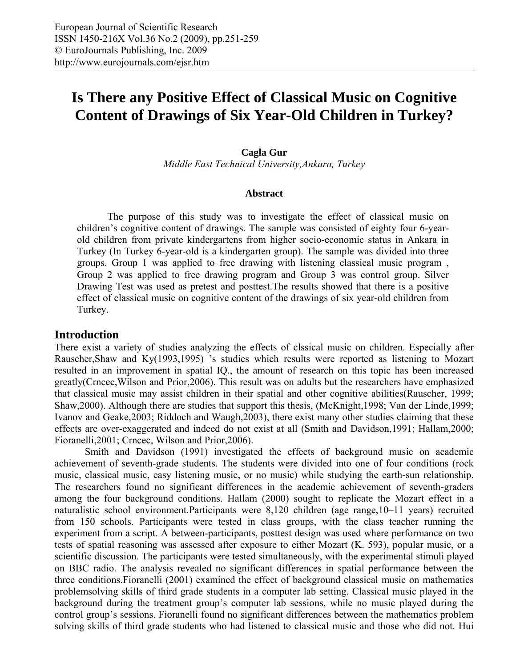# **Is There any Positive Effect of Classical Music on Cognitive Content of Drawings of Six Year-Old Children in Turkey?**

#### **Cagla Gur**

*Middle East Technical University,Ankara, Turkey* 

#### **Abstract**

The purpose of this study was to investigate the effect of classical music on children's cognitive content of drawings. The sample was consisted of eighty four 6-yearold children from private kindergartens from higher socio-economic status in Ankara in Turkey (In Turkey 6-year-old is a kindergarten group). The sample was divided into three groups. Group 1 was applied to free drawing with listening classical music program , Group 2 was applied to free drawing program and Group 3 was control group. Silver Drawing Test was used as pretest and posttest.The results showed that there is a positive effect of classical music on cognitive content of the drawings of six year-old children from Turkey.

#### **Introduction**

There exist a variety of studies analyzing the effects of clssical music on children. Especially after Rauscher,Shaw and Ky(1993,1995) 's studies which results were reported as listening to Mozart resulted in an improvement in spatial IQ., the amount of research on this topic has been increased greatly(Crncec,Wilson and Prior,2006). This result was on adults but the researchers have emphasized that classical music may assist children in their spatial and other cognitive abilities(Rauscher, 1999; Shaw,2000). Although there are studies that support this thesis, (McKnight,1998; Van der Linde,1999; Ivanov and Geake,2003; Riddoch and Waugh,2003), there exist many other studies claiming that these effects are over-exaggerated and indeed do not exist at all (Smith and Davidson,1991; Hallam,2000; Fioranelli,2001; Crncec, Wilson and Prior,2006).

Smith and Davidson (1991) investigated the effects of background music on academic achievement of seventh-grade students. The students were divided into one of four conditions (rock music, classical music, easy listening music, or no music) while studying the earth-sun relationship. The researchers found no significant differences in the academic achievement of seventh-graders among the four background conditions. Hallam (2000) sought to replicate the Mozart effect in a naturalistic school environment.Participants were 8,120 children (age range,10–11 years) recruited from 150 schools. Participants were tested in class groups, with the class teacher running the experiment from a script. A between-participants, posttest design was used where performance on two tests of spatial reasoning was assessed after exposure to either Mozart (K. 593), popular music, or a scientific discussion. The participants were tested simultaneously, with the experimental stimuli played on BBC radio. The analysis revealed no significant differences in spatial performance between the three conditions.Fioranelli (2001) examined the effect of background classical music on mathematics problemsolving skills of third grade students in a computer lab setting. Classical music played in the background during the treatment group's computer lab sessions, while no music played during the control group's sessions. Fioranelli found no significant differences between the mathematics problem solving skills of third grade students who had listened to classical music and those who did not. Hui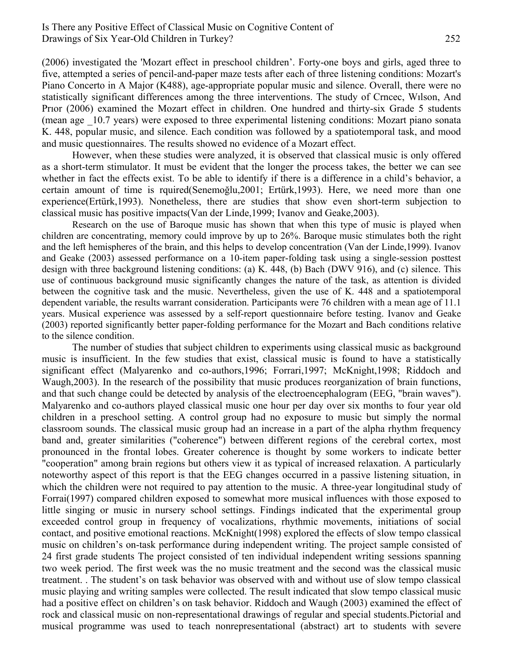#### Is There any Positive Effect of Classical Music on Cognitive Content of Drawings of Six Year-Old Children in Turkey? 252

(2006) investigated the 'Mozart effect in preschool children'. Forty-one boys and girls, aged three to five, attempted a series of pencil-and-paper maze tests after each of three listening conditions: Mozart's Piano Concerto in A Major (K488), age-appropriate popular music and silence. Overall, there were no statistically significant differences among the three interventions. The study of Crncec, Wılson, And Prıor (2006) examined the Mozart effect in children. One hundred and thirty-six Grade 5 students (mean age \_10.7 years) were exposed to three experimental listening conditions: Mozart piano sonata K. 448, popular music, and silence. Each condition was followed by a spatiotemporal task, and mood and music questionnaires. The results showed no evidence of a Mozart effect.

However, when these studies were analyzed, it is observed that classical music is only offered as a short-term stimulator. It must be evident that the longer the process takes, the better we can see whether in fact the effects exist. To be able to identify if there is a difference in a child's behavior, a certain amount of time is rquired(Senemoğlu,2001; Ertürk,1993). Here, we need more than one experience(Ertürk,1993). Nonetheless, there are studies that show even short-term subjection to classical music has positive impacts(Van der Linde,1999; Ivanov and Geake,2003).

Research on the use of Baroque music has shown that when this type of music is played when children are concentrating, memory could improve by up to 26%. Baroque music stimulates both the right and the left hemispheres of the brain, and this helps to develop concentration (Van der Linde,1999). Ivanov and Geake (2003) assessed performance on a 10-item paper-folding task using a single-session posttest design with three background listening conditions: (a) K. 448, (b) Bach (DWV 916), and (c) silence. This use of continuous background music significantly changes the nature of the task, as attention is divided between the cognitive task and the music. Nevertheless, given the use of K. 448 and a spatiotemporal dependent variable, the results warrant consideration. Participants were 76 children with a mean age of 11.1 years. Musical experience was assessed by a self-report questionnaire before testing. Ivanov and Geake (2003) reported significantly better paper-folding performance for the Mozart and Bach conditions relative to the silence condition.

The number of studies that subject children to experiments using classical music as background music is insufficient. In the few studies that exist, classical music is found to have a statistically significant effect (Malyarenko and co-authors,1996; Forrari,1997; McKnight,1998; Riddoch and Waugh,2003). In the research of the possibility that music produces reorganization of brain functions, and that such change could be detected by analysis of the electroencephalogram (EEG, "brain waves"). Malyarenko and co-authors played classical music one hour per day over six months to four year old children in a preschool setting. A control group had no exposure to music but simply the normal classroom sounds. The classical music group had an increase in a part of the alpha rhythm frequency band and, greater similarities ("coherence") between different regions of the cerebral cortex, most pronounced in the frontal lobes. Greater coherence is thought by some workers to indicate better "cooperation" among brain regions but others view it as typical of increased relaxation. A particularly noteworthy aspect of this report is that the EEG changes occurred in a passive listening situation, in which the children were not required to pay attention to the music. A three-year longitudinal study of Forrai(1997) compared children exposed to somewhat more musical influences with those exposed to little singing or music in nursery school settings. Findings indicated that the experimental group exceeded control group in frequency of vocalizations, rhythmic movements, initiations of social contact, and positive emotional reactions. McKnight(1998) explored the effects of slow tempo classical music on children's on-task performance during independent writing. The project sample consisted of 24 first grade students The project consisted of ten individual independent writing sessions spanning two week period. The first week was the no music treatment and the second was the classical music treatment. . The student's on task behavior was observed with and without use of slow tempo classical music playing and writing samples were collected. The result indicated that slow tempo classical music had a positive effect on children's on task behavior. Riddoch and Waugh (2003) examined the effect of rock and classical music on non-representational drawings of regular and special students.Pictorial and musical programme was used to teach nonrepresentational (abstract) art to students with severe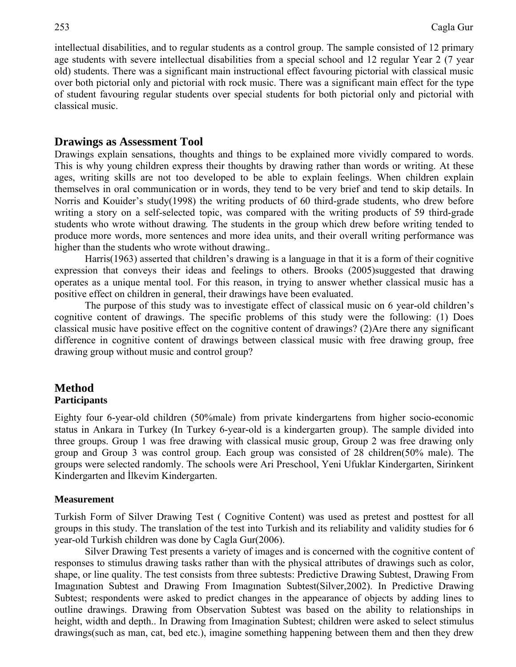intellectual disabilities, and to regular students as a control group. The sample consisted of 12 primary age students with severe intellectual disabilities from a special school and 12 regular Year 2 (7 year old) students. There was a significant main instructional effect favouring pictorial with classical music over both pictorial only and pictorial with rock music. There was a significant main effect for the type of student favouring regular students over special students for both pictorial only and pictorial with classical music.

#### **Drawings as Assessment Tool**

Drawings explain sensations, thoughts and things to be explained more vividly compared to words. This is why young children express their thoughts by drawing rather than words or writing. At these ages, writing skills are not too developed to be able to explain feelings. When children explain themselves in oral communication or in words, they tend to be very brief and tend to skip details. In Norris and Kouider's study(1998) the writing products of 60 third-grade students, who drew before writing a story on a self-selected topic, was compared with the writing products of 59 third-grade students who wrote without drawing*.* The students in the group which drew before writing tended to produce more words, more sentences and more idea units, and their overall writing performance was higher than the students who wrote without drawing.*.* 

Harris(1963) asserted that children's drawing is a language in that it is a form of their cognitive expression that conveys their ideas and feelings to others. Brooks (2005)suggested that drawing operates as a unique mental tool. For this reason, in trying to answer whether classical music has a positive effect on children in general, their drawings have been evaluated.

The purpose of this study was to investigate effect of classical music on 6 year-old children's cognitive content of drawings. The specific problems of this study were the following: (1) Does classical music have positive effect on the cognitive content of drawings? (2)Are there any significant difference in cognitive content of drawings between classical music with free drawing group, free drawing group without music and control group?

#### **Method Participants**

Eighty four 6-year-old children (50%male) from private kindergartens from higher socio-economic status in Ankara in Turkey (In Turkey 6-year-old is a kindergarten group). The sample divided into three groups. Group 1 was free drawing with classical music group, Group 2 was free drawing only group and Group 3 was control group. Each group was consisted of 28 children(50% male). The groups were selected randomly. The schools were Ari Preschool, Yeni Ufuklar Kindergarten, Sirinkent Kindergarten and İlkevim Kindergarten.

#### **Measurement**

Turkish Form of Silver Drawing Test ( Cognitive Content) was used as pretest and posttest for all groups in this study. The translation of the test into Turkish and its reliability and validity studies for 6 year-old Turkish children was done by Cagla Gur(2006).

Silver Drawing Test presents a variety of images and is concerned with the cognitive content of responses to stimulus drawing tasks rather than with the physical attributes of drawings such as color, shape, or line quality. The test consists from three subtests: Predictive Drawing Subtest, Drawing From Imagınation Subtest and Drawing From Imagınation Subtest(Silver,2002). In Predictive Drawing Subtest; respondents were asked to predict changes in the appearance of objects by adding lines to outline drawings. Drawing from Observation Subtest was based on the ability to relationships in height, width and depth.. In Drawing from Imagination Subtest; children were asked to select stimulus drawings(such as man, cat, bed etc.), imagine something happening between them and then they drew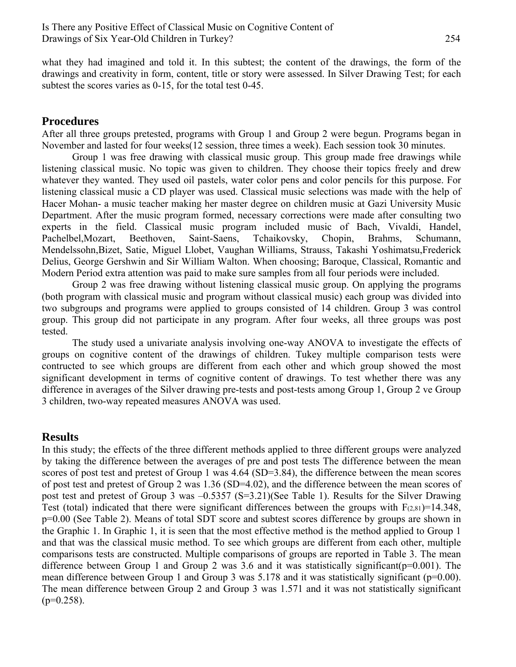what they had imagined and told it. In this subtest; the content of the drawings, the form of the drawings and creativity in form, content, title or story were assessed. In Silver Drawing Test; for each subtest the scores varies as 0-15, for the total test 0-45.

## **Procedures**

After all three groups pretested, programs with Group 1 and Group 2 were begun. Programs began in November and lasted for four weeks(12 session, three times a week). Each session took 30 minutes.

Group 1 was free drawing with classical music group. This group made free drawings while listening classical music. No topic was given to children. They choose their topics freely and drew whatever they wanted. They used oil pastels, water color pens and color pencils for this purpose. For listening classical music a CD player was used. Classical music selections was made with the help of Hacer Mohan- a music teacher making her master degree on children music at Gazi University Music Department. After the music program formed, necessary corrections were made after consulting two experts in the field. Classical music program included music of Bach, Vivaldi, Handel, Pachelbel,Mozart, Beethoven, Saint-Saens, Tchaikovsky, Chopin, Brahms, Schumann, Mendelssohn,Bizet, Satie, Miguel Llobet, Vaughan Williams, Strauss, Takashi Yoshimatsu,Frederick Delius, George Gershwin and Sir William Walton. When choosing; Baroque, Classical, Romantic and Modern Period extra attention was paid to make sure samples from all four periods were included.

Group 2 was free drawing without listening classical music group. On applying the programs (both program with classical music and program without classical music) each group was divided into two subgroups and programs were applied to groups consisted of 14 children. Group 3 was control group. This group did not participate in any program. After four weeks, all three groups was post tested.

The study used a univariate analysis involving one-way ANOVA to investigate the effects of groups on cognitive content of the drawings of children. Tukey multiple comparison tests were contructed to see which groups are different from each other and which group showed the most significant development in terms of cognitive content of drawings. To test whether there was any difference in averages of the Silver drawing pre-tests and post-tests among Group 1, Group 2 ve Group 3 children, two-way repeated measures ANOVA was used.

# **Results**

In this study; the effects of the three different methods applied to three different groups were analyzed by taking the difference between the averages of pre and post tests The difference between the mean scores of post test and pretest of Group 1 was 4.64 (SD=3.84), the difference between the mean scores of post test and pretest of Group 2 was 1.36 (SD=4.02), and the difference between the mean scores of post test and pretest of Group 3 was –0.5357 (S=3.21)(See Table 1). Results for the Silver Drawing Test (total) indicated that there were significant differences between the groups with  $F(2,81)=14.348$ , p=0.00 (See Table 2). Means of total SDT score and subtest scores difference by groups are shown in the Graphic 1. In Graphic 1, it is seen that the most effective method is the method applied to Group 1 and that was the classical music method. To see which groups are different from each other, multiple comparisons tests are constructed. Multiple comparisons of groups are reported in Table 3. The mean difference between Group 1 and Group 2 was 3.6 and it was statistically significant( $p=0.001$ ). The mean difference between Group 1 and Group 3 was 5.178 and it was statistically significant (p=0.00). The mean difference between Group 2 and Group 3 was 1.571 and it was not statistically significant  $(p=0.258)$ .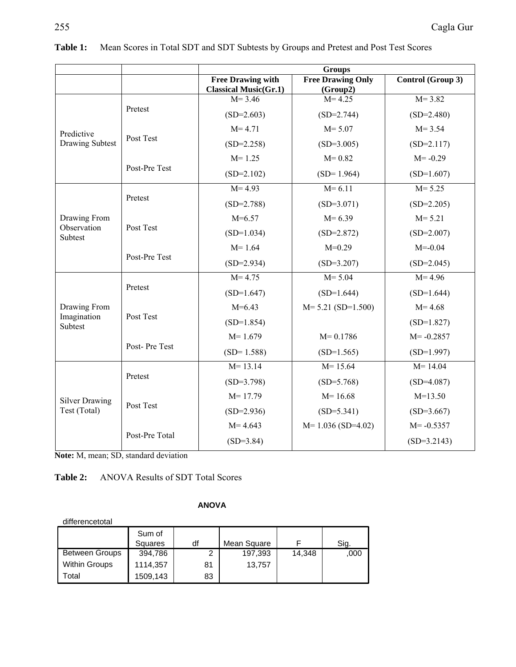|                                        |                | <b>Groups</b>                                            |                                      |                   |
|----------------------------------------|----------------|----------------------------------------------------------|--------------------------------------|-------------------|
|                                        |                | <b>Free Drawing with</b><br><b>Classical Music(Gr.1)</b> | <b>Free Drawing Only</b><br>(Group2) | Control (Group 3) |
| Predictive<br><b>Drawing Subtest</b>   | Pretest        | $M = 3.46$                                               | $M = 4.25$                           | $M = 3.82$        |
|                                        |                | $(SD=2.603)$                                             | $(SD=2.744)$                         | $(SD=2.480)$      |
|                                        | Post Test      | $M = 4.71$                                               | $M = 5.07$                           | $M = 3.54$        |
|                                        |                | $(SD=2.258)$                                             | $(SD=3.005)$                         | $(SD=2.117)$      |
|                                        | Post-Pre Test  | $M = 1.25$                                               | $M = 0.82$                           | $M = -0.29$       |
|                                        |                | $(SD=2.102)$                                             | $(SD=1.964)$                         | $(SD=1.607)$      |
| Drawing From<br>Observation<br>Subtest | Pretest        | $M = 4.93$                                               | $M = 6.11$                           | $M = 5.25$        |
|                                        |                | $(SD=2.788)$                                             | $(SD=3.071)$                         | $(SD=2.205)$      |
|                                        | Post Test      | $M=6.57$                                                 | $M = 6.39$                           | $M = 5.21$        |
|                                        |                | $(SD=1.034)$                                             | $(SD=2.872)$                         | $(SD=2.007)$      |
|                                        | Post-Pre Test  | $M = 1.64$                                               | $M=0.29$                             | $M = -0.04$       |
|                                        |                | $(SD=2.934)$                                             | $(SD=3.207)$                         | $(SD=2.045)$      |
|                                        | Pretest        | $M = 4.75$                                               | $M = 5.04$                           | $M = 4.96$        |
|                                        |                | $(SD=1.647)$                                             | $(SD=1.644)$                         | $(SD=1.644)$      |
| Drawing From                           | Post Test      | $M=6.43$                                                 | $M = 5.21$ (SD=1.500)                | $M = 4.68$        |
| Imagination<br>Subtest                 |                | $(SD=1.854)$                                             |                                      | $(SD=1.827)$      |
|                                        | Post-Pre Test  | $M = 1.679$                                              | $M = 0.1786$                         | $M = -0.2857$     |
|                                        |                | $(SD=1.588)$                                             | $(SD=1.565)$                         | $(SD=1.997)$      |
| <b>Silver Drawing</b><br>Test (Total)  | Pretest        | $M = 13.14$                                              | $M = 15.64$                          | $M = 14.04$       |
|                                        |                | $(SD=3.798)$                                             | $(SD=5.768)$                         | $(SD=4.087)$      |
|                                        | Post Test      | $M = 17.79$                                              | $M = 16.68$                          | $M=13.50$         |
|                                        |                | $(SD=2.936)$                                             | $(SD=5.341)$                         | $(SD=3.667)$      |
|                                        | Post-Pre Total | $M = 4.643$                                              | $M=1.036$ (SD=4.02)                  | $M = -0.5357$     |
|                                        |                | $(SD=3.84)$                                              |                                      | $(SD=3.2143)$     |

|  | <b>Table 1:</b> Mean Scores in Total SDT and SDT Subtests by Groups and Pretest and Post Test Scores |
|--|------------------------------------------------------------------------------------------------------|
|  |                                                                                                      |

**Note:** M, mean; SD, standard deviation

## **Table 2:** ANOVA Results of SDT Total Scores

| differencetotal       |          |    |             |        |      |
|-----------------------|----------|----|-------------|--------|------|
|                       | Sum of   |    |             |        |      |
|                       | Squares  | df | Mean Square |        | Sig. |
| <b>Between Groups</b> | 394,786  | ◠  | 197,393     | 14,348 | ,000 |
| <b>Within Groups</b>  | 1114,357 | 81 | 13,757      |        |      |
| Total                 | 1509,143 | 83 |             |        |      |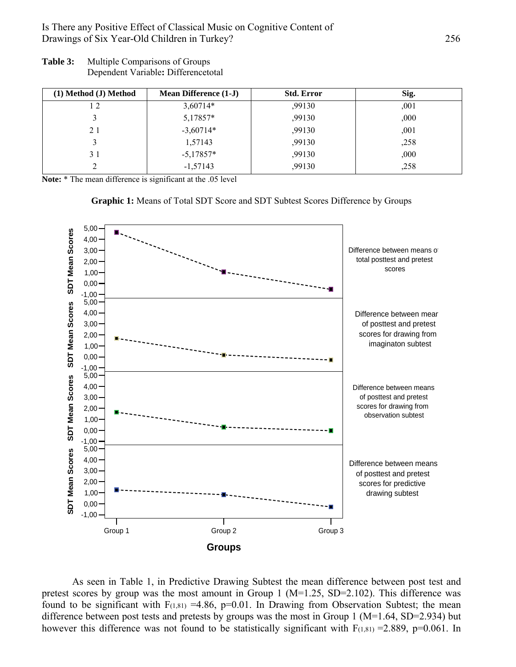Is There any Positive Effect of Classical Music on Cognitive Content of Drawings of Six Year-Old Children in Turkey? 256

**Table 3:** Multiple Comparisons of Groups Dependent Variable**:** Differencetotal

| (1) Method (J) Method | <b>Mean Difference (1-J)</b> | <b>Std. Error</b> | Sig. |
|-----------------------|------------------------------|-------------------|------|
|                       | 3,60714*                     | ,99130            | ,001 |
|                       | 5,17857*                     | ,99130            | ,000 |
| 21                    | $-3,60714*$                  | ,99130            | ,001 |
|                       | 1,57143                      | ,99130            | ,258 |
| 31                    | $-5,17857*$                  | ,99130            | ,000 |
|                       | $-1,57143$                   | ,99130            | ,258 |

**Note:** \* The mean difference is significant at the .05 level





As seen in Table 1, in Predictive Drawing Subtest the mean difference between post test and pretest scores by group was the most amount in Group 1 (M=1.25, SD=2.102). This difference was found to be significant with  $F(1,81) = 4.86$ , p=0.01. In Drawing from Observation Subtest; the mean difference between post tests and pretests by groups was the most in Group 1 (M=1.64, SD=2.934) but however this difference was not found to be statistically significant with  $F(1,81) = 2.889$ , p=0.061. In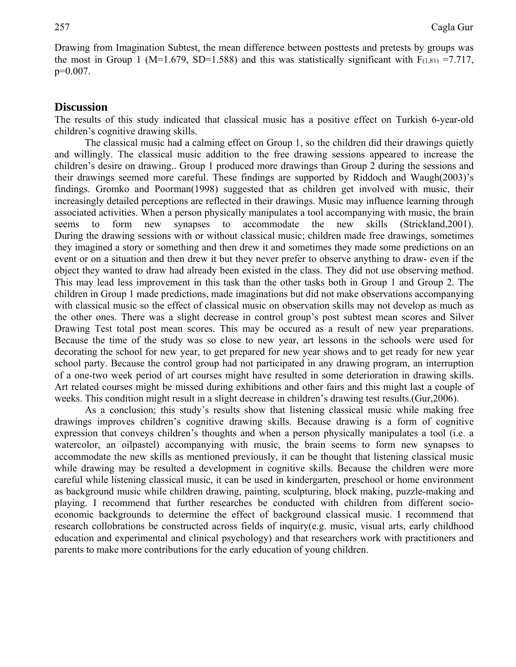Drawing from Imagination Subtest, the mean difference between posttests and pretests by groups was the most in Group 1 (M=1.679, SD=1.588) and this was statistically significant with  $F(1,81) = 7.717$ , p=0.007.

#### **Discussion**

The results of this study indicated that classical music has a positive effect on Turkish 6-year-old children's cognitive drawing skills.

The classical music had a calming effect on Group 1, so the children did their drawings quietly and willingly. The classical music addition to the free drawing sessions appeared to increase the children's desire on drawing.. Group 1 produced more drawings than Group 2 during the sessions and their drawings seemed more careful. These findings are supported by Riddoch and Waugh(2003)'s findings. Gromko and Poorman(1998) suggested that as children get involved with music, their increasingly detailed perceptions are reflected in their drawings. Music may influence learning through associated activities. When a person physically manipulates a tool accompanying with music, the brain seems to form new synapses to accommodate the new skills (Strickland, 2001). During the drawing sessions with or without classical music; children made free drawings, sometimes they imagined a story or something and then drew it and sometimes they made some predictions on an event or on a situation and then drew it but they never prefer to observe anything to draw- even if the object they wanted to draw had already been existed in the class. They did not use observing method. This may lead less improvement in this task than the other tasks both in Group 1 and Group 2. The children in Group 1 made predictions, made imaginations but did not make observations accompanying with classical music so the effect of classical music on observation skills may not develop as much as the other ones. There was a slight decrease in control group's post subtest mean scores and Silver Drawing Test total post mean scores. This may be occured as a result of new year preparations. Because the time of the study was so close to new year, art lessons in the schools were used for decorating the school for new year, to get prepared for new year shows and to get ready for new year school party. Because the control group had not participated in any drawing program, an interruption of a one-two week period of art courses might have resulted in some deterioration in drawing skills. Art related courses might be missed during exhibitions and other fairs and this might last a couple of weeks. This condition might result in a slight decrease in children's drawing test results.(Gur,2006).

As a conclusion; this study's results show that listening classical music while making free drawings improves children's cognitive drawing skills. Because drawing is a form of cognitive expression that conveys children's thoughts and when a person physically manipulates a tool (i.e. a watercolor, an oilpastel) accompanying with music, the brain seems to form new synapses to accommodate the new skills as mentioned previously, it can be thought that listening classical music while drawing may be resulted a development in cognitive skills. Because the children were more careful while listening classical music, it can be used in kindergarten, preschool or home environment as background music while children drawing, painting, sculpturing, block making, puzzle-making and playing. I recommend that further researches be conducted with children from different socioeconomic backgrounds to determine the effect of background classical music. I recommend that research collobrations be constructed across fields of inquiry(e.g. music, visual arts, early childhood education and experimental and clinical psychology) and that researchers work with practitioners and parents to make more contributions for the early education of young children.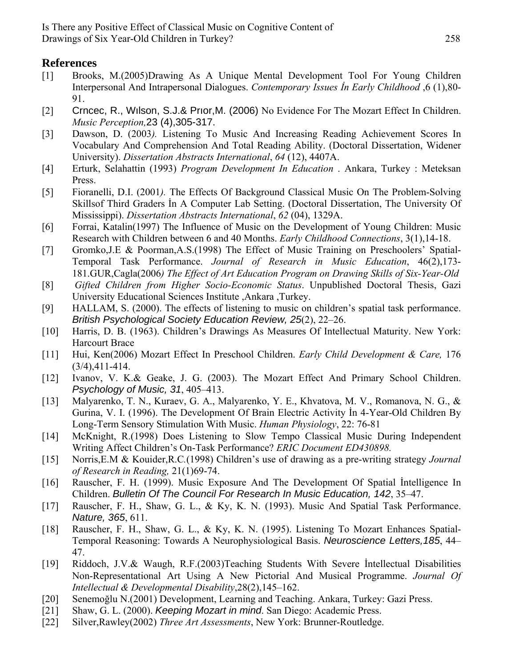# **References**

- [1] Brooks, M.(2005)Drawing As A Unique Mental Development Tool For Young Children Interpersonal And Intrapersonal Dialogues. *Contemporary Issues İn Early Childhood* ,6 (1),80- 91.
- [2] Crncec, R., Wılson, S.J.& Prıor,M. (2006) No Evidence For The Mozart Effect In Children. *Music Perception,*23 (4),305-317.
- [3] Dawson, D. (2003*).* Listening To Music And Increasing Reading Achievement Scores In Vocabulary And Comprehension And Total Reading Ability. (Doctoral Dissertation, Widener University). *Dissertation Abstracts International*, *64* (12), 4407A.
- [4] Erturk, Selahattin (1993) *Program Development In Education* . Ankara, Turkey : Meteksan Press.
- [5] Fioranelli, D.I. (2001*).* The Effects Of Background Classical Music On The Problem-Solving Skillsof Third Graders İn A Computer Lab Setting. (Doctoral Dissertation, The University Of Mississippi). *Dissertation Abstracts International*, *62* (04), 1329A.
- [6] Forrai, Katalin(1997) The Influence of Music on the Development of Young Children: Music Research with Children between 6 and 40 Months. *Early Childhood Connections*, 3(1),14-18.
- [7] Gromko,J.E & Poorman,A.S.(1998) The Effect of Music Training on Preschoolers' Spatial-Temporal Task Performance. *Journal of Research in Music Education*, 46(2),173- 181.GUR,Cagla(2006*) The Effect of Art Education Program on Drawing Skills of Six-Year-Old*
- [8] *Gifted Children from Higher Socio-Economic Status*. Unpublished Doctoral Thesis, Gazi University Educational Sciences Institute ,Ankara ,Turkey.
- [9] HALLAM, S. (2000). The effects of listening to music on children's spatial task performance. *British Psychological Society Education Review, 25*(2), 22–26.
- [10] Harris, D. B. (1963). Children's Drawings As Measures Of Intellectual Maturity. New York: Harcourt Brace
- [11] Hui, Ken(2006) Mozart Effect In Preschool Children. *Early Child Development & Care,* 176 (3/4),411-414.
- [12] Ivanov, V. K.& Geake, J. G. (2003). The Mozart Effect And Primary School Children. *Psychology of Music, 31*, 405–413.
- [13] Malyarenko, T. N., Kuraev, G. A., Malyarenko, Y. E., Khvatova, M. V., Romanova, N. G., & Gurina, V. I. (1996). The Development Of Brain Electric Activity İn 4-Year-Old Children By Long-Term Sensory Stimulation With Music. *Human Physiology*, 22: 76-81
- [14] McKnight, R.(1998) Does Listening to Slow Tempo Classical Music During Independent Writing Affect Children's On-Task Performance? *ERIC Document ED430898.*
- [15] Norris,E.M & Kouider,R.C*.*(1998) Children's use of drawing as a pre-writing strategy *Journal of Research in Reading,* 21(1)69-74.
- [16] Rauscher, F. H. (1999). Music Exposure And The Development Of Spatial İntelligence In Children. *Bulletin Of The Council For Research In Music Education, 142*, 35–47.
- [17] Rauscher, F. H., Shaw, G. L., & Ky, K. N. (1993). Music And Spatial Task Performance. *Nature, 365*, 611.
- [18] Rauscher, F. H., Shaw, G. L., & Ky, K. N. (1995). Listening To Mozart Enhances Spatial-Temporal Reasoning: Towards A Neurophysiological Basis. *Neuroscience Letters,185*, 44– 47.
- [19] Riddoch, J.V.& Waugh, R.F.(2003)Teaching Students With Severe İntellectual Disabilities Non-Representational Art Using A New Pictorial And Musical Programme. *Journal Of Intellectual & Developmental Disability*,28(2),145–162.
- [20] Senemoğlu N.(2001) Development, Learning and Teaching. Ankara, Turkey: Gazi Press.
- [21] Shaw, G. L. (2000). *Keeping Mozart in mind*. San Diego: Academic Press.
- [22] Silver,Rawley(2002) *Three Art Assessments*, New York: Brunner-Routledge.